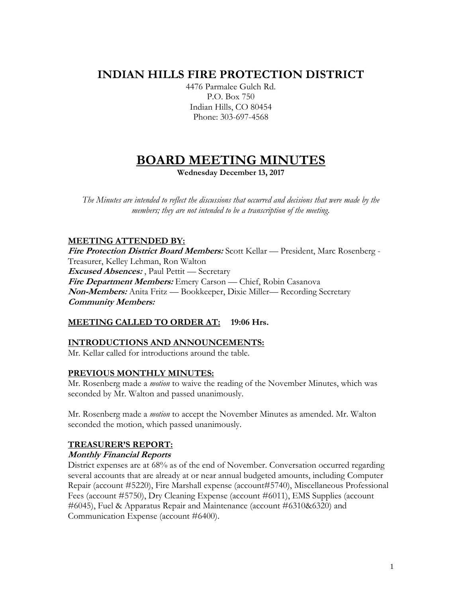# **INDIAN HILLS FIRE PROTECTION DISTRICT**

4476 Parmalee Gulch Rd. P.O. Box 750 Indian Hills, CO 80454 Phone: 303-697-4568

# **BOARD MEETING MINUTES**

**Wednesday December 13, 2017**

*The Minutes are intended to reflect the discussions that occurred and decisions that were made by the members; they are not intended to be a transcription of the meeting.*

# **MEETING ATTENDED BY:**

**Fire Protection District Board Members:** Scott Kellar — President, Marc Rosenberg - Treasurer, Kelley Lehman, Ron Walton **Excused Absences:** , Paul Pettit — Secretary **Fire Department Members:** Emery Carson — Chief, Robin Casanova **Non-Members:** Anita Fritz — Bookkeeper, Dixie Miller— Recording Secretary **Community Members:**

# **MEETING CALLED TO ORDER AT: 19:06 Hrs.**

# **INTRODUCTIONS AND ANNOUNCEMENTS:**

Mr. Kellar called for introductions around the table.

#### **PREVIOUS MONTHLY MINUTES:**

Mr. Rosenberg made a *motion* to waive the reading of the November Minutes, which was seconded by Mr. Walton and passed unanimously.

Mr. Rosenberg made a *motion* to accept the November Minutes as amended. Mr. Walton seconded the motion, which passed unanimously.

# **TREASURER'S REPORT:**

#### **Monthly Financial Reports**

District expenses are at 68% as of the end of November. Conversation occurred regarding several accounts that are already at or near annual budgeted amounts, including Computer Repair (account #5220), Fire Marshall expense (account#5740), Miscellaneous Professional Fees (account #5750), Dry Cleaning Expense (account #6011), EMS Supplies (account #6045), Fuel & Apparatus Repair and Maintenance (account #6310&6320) and Communication Expense (account #6400).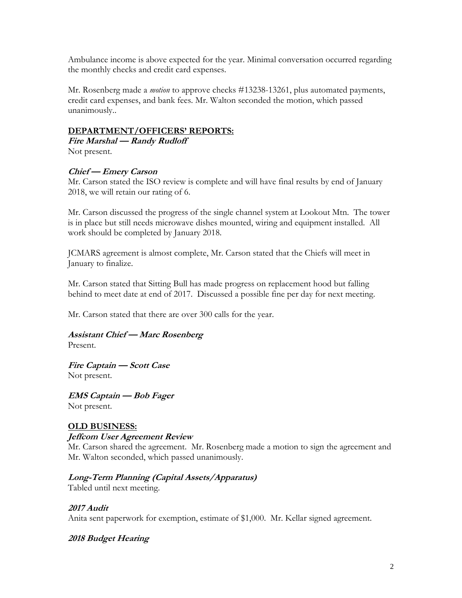Ambulance income is above expected for the year. Minimal conversation occurred regarding the monthly checks and credit card expenses.

Mr. Rosenberg made a *motion* to approve checks #13238-13261, plus automated payments, credit card expenses, and bank fees. Mr. Walton seconded the motion, which passed unanimously..

# **DEPARTMENT/OFFICERS' REPORTS:**

**Fire Marshal — Randy Rudloff** Not present.

# **Chief — Emery Carson**

Mr. Carson stated the ISO review is complete and will have final results by end of January 2018, we will retain our rating of 6.

Mr. Carson discussed the progress of the single channel system at Lookout Mtn. The tower is in place but still needs microwave dishes mounted, wiring and equipment installed. All work should be completed by January 2018.

JCMARS agreement is almost complete, Mr. Carson stated that the Chiefs will meet in January to finalize.

Mr. Carson stated that Sitting Bull has made progress on replacement hood but falling behind to meet date at end of 2017. Discussed a possible fine per day for next meeting.

Mr. Carson stated that there are over 300 calls for the year.

# **Assistant Chief — Marc Rosenberg**

Present.

**Fire Captain — Scott Case** Not present.

**EMS Captain — Bob Fager** Not present.

# **OLD BUSINESS:**

# **Jeffcom User Agreement Review**

Mr. Carson shared the agreement. Mr. Rosenberg made a motion to sign the agreement and Mr. Walton seconded, which passed unanimously.

# **Long-Term Planning (Capital Assets/Apparatus)**

Tabled until next meeting.

# **2017 Audit**

Anita sent paperwork for exemption, estimate of \$1,000. Mr. Kellar signed agreement.

# **2018 Budget Hearing**